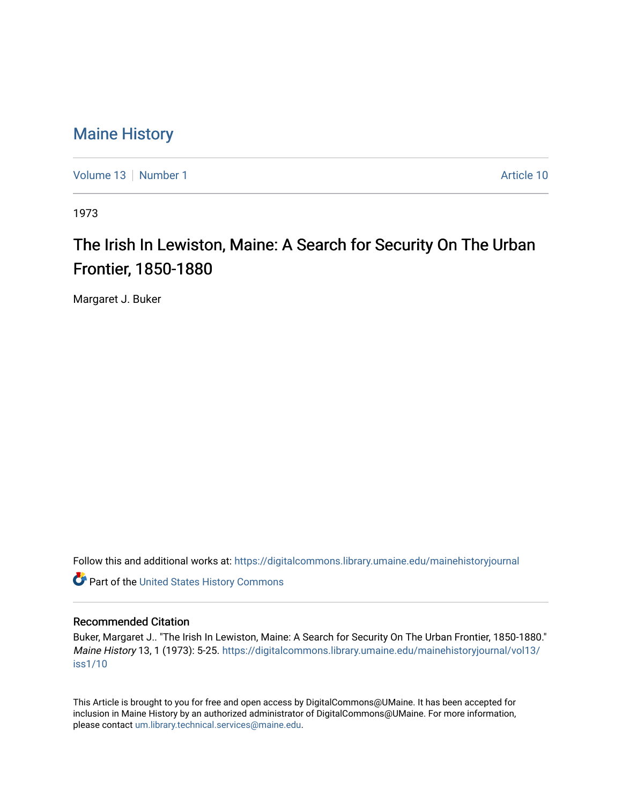## [Maine History](https://digitalcommons.library.umaine.edu/mainehistoryjournal)

[Volume 13](https://digitalcommons.library.umaine.edu/mainehistoryjournal/vol13) [Number 1](https://digitalcommons.library.umaine.edu/mainehistoryjournal/vol13/iss1) Article 10

1973

# The Irish In Lewiston, Maine: A Search for Security On The Urban Frontier, 1850-1880

Margaret J. Buker

Follow this and additional works at: [https://digitalcommons.library.umaine.edu/mainehistoryjournal](https://digitalcommons.library.umaine.edu/mainehistoryjournal?utm_source=digitalcommons.library.umaine.edu%2Fmainehistoryjournal%2Fvol13%2Fiss1%2F10&utm_medium=PDF&utm_campaign=PDFCoverPages) 

**Part of the United States History Commons** 

#### Recommended Citation

Buker, Margaret J.. "The Irish In Lewiston, Maine: A Search for Security On The Urban Frontier, 1850-1880." Maine History 13, 1 (1973): 5-25. [https://digitalcommons.library.umaine.edu/mainehistoryjournal/vol13/](https://digitalcommons.library.umaine.edu/mainehistoryjournal/vol13/iss1/10?utm_source=digitalcommons.library.umaine.edu%2Fmainehistoryjournal%2Fvol13%2Fiss1%2F10&utm_medium=PDF&utm_campaign=PDFCoverPages) [iss1/10](https://digitalcommons.library.umaine.edu/mainehistoryjournal/vol13/iss1/10?utm_source=digitalcommons.library.umaine.edu%2Fmainehistoryjournal%2Fvol13%2Fiss1%2F10&utm_medium=PDF&utm_campaign=PDFCoverPages) 

This Article is brought to you for free and open access by DigitalCommons@UMaine. It has been accepted for inclusion in Maine History by an authorized administrator of DigitalCommons@UMaine. For more information, please contact [um.library.technical.services@maine.edu.](mailto:um.library.technical.services@maine.edu)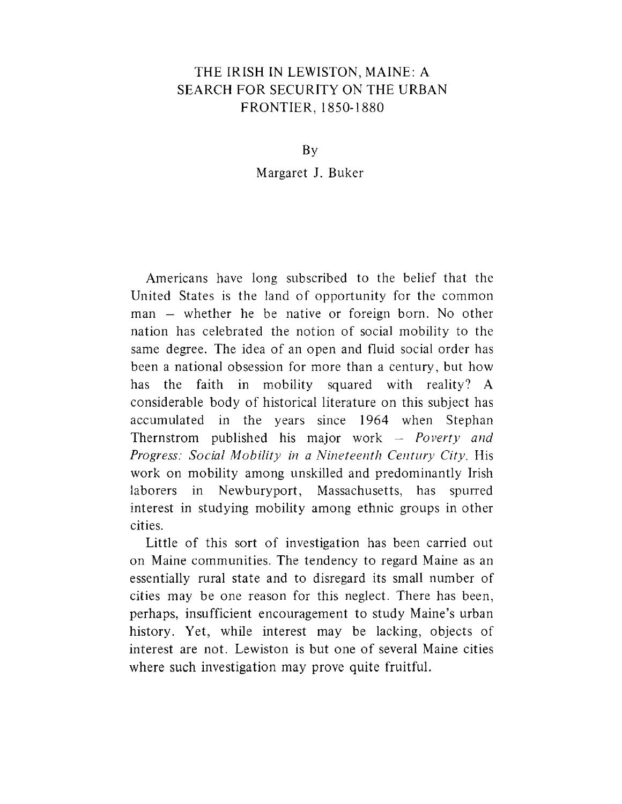### THE IRISH IN LEWISTON, MAINE: A SEARCH FOR SECURITY ON THE URBAN FRONTIER, 1850-1880

By

Margaret J. Buker

Americans have long subscribed to the belief that the United States is the land of opportunity for the common man — whether he be native or foreign born. No other nation has celebrated the notion of social mobility to the same degree. The idea of an open and fluid social order has been a national obsession for more than a century, but how has the faith in mobility squared with reality? A considerable body of historical literature on this subject has accumulated in the years since 1964 when Stephan Thernstrom published his major work — *Poverty and Progress: Social Mobility in a Nineteenth Century City.* His work on mobility among unskilled and predominantly Irish laborers in Newburyport, Massachusetts, has spurred interest in studying mobility among ethnic groups in other cities.

Little of this sort of investigation has been carried out on Maine communities. The tendency to regard Maine as an essentially rural state and to disregard its small number of cities may be one reason for this neglect. There has been, perhaps, insufficient encouragement to study Maine's urban history. Yet, while interest may be lacking, objects of interest are not. Lewiston is but one of several Maine cities where such investigation may prove quite fruitful.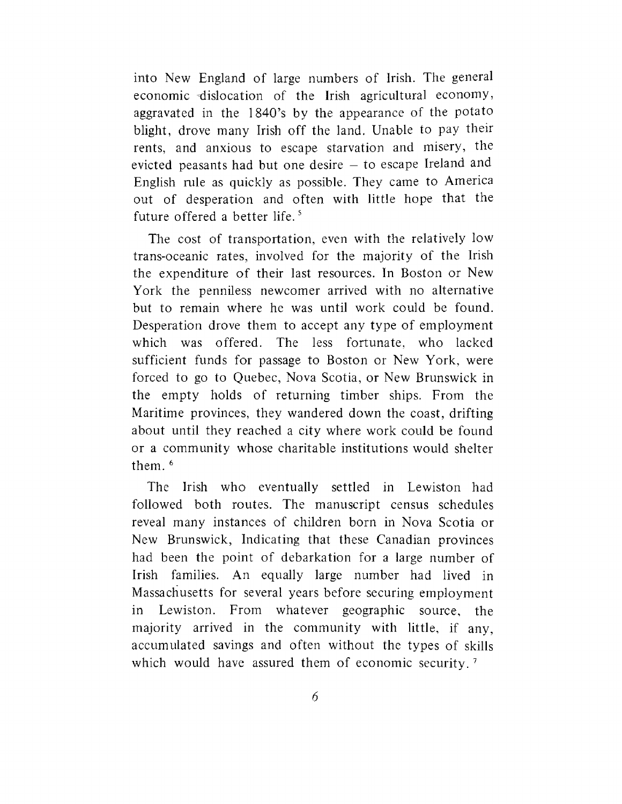into New England of large numbers of Irish. The general economic dislocation of the Irish agricultural economy, aggravated in the 1840'<sup>s</sup> by the appearance of the potato blight, drove many Irish off the land. Unable to pay their rents, and anxious to escape starvation and misery, the evicted peasants had but one desire — to escape Ireland and English rule as quickly as possible. They came to America out of desperation and often with little hope that the future offered a better life.<sup>5</sup>

The cost of transportation, even with the relatively low trans-oceanic rates, involved for the majority of the Irish the expenditure of their last resources. In Boston or New York the penniless newcomer arrived with no alternative but to remain where he was until work could be found. Desperation drove them to accept any type of employment which was offered. The less fortunate, who lacked sufficient funds for passage to Boston or New York, were forced to go to Quebec, Nova Scotia, or New Brunswick in the empty holds of returning timber ships. From the Maritime provinces, they wandered down the coast, drifting about until they reached a city where work could be found or a community whose charitable institutions would shelter them.<sup>6</sup>

The Irish who eventually settled in Lewiston had followed both routes. The manuscript census schedules reveal many instances of children born in Nova Scotia or New Brunswick, Indicating that these Canadian provinces had been the point of debarkation for a large number of Irish families. An equally large number had lived in Massachusetts for several years before securing employment in Lewiston. From whatever geographic source, the majority arrived in the community with little, if any, accumulated savings and often without the types of skills which would have assured them of economic security.<sup>7</sup>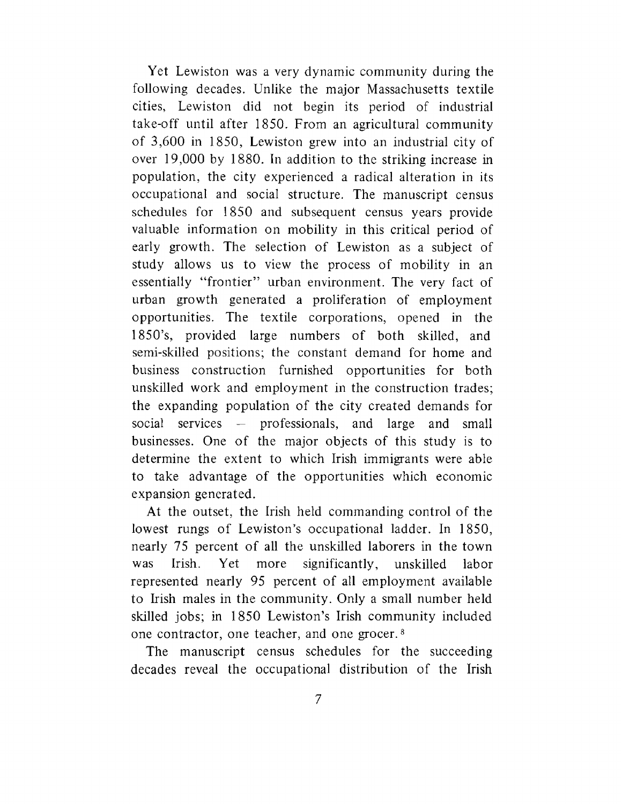Yet Lewiston was a very dynamic community during the following decades. Unlike the major Massachusetts textile cities, Lewiston did not begin its period of industrial take-off until after 1850. From an agricultural community of 3,600 in 1850, Lewiston grew into an industrial city of over 19,000 by 1880. In addition to the striking increase in population, the city experienced a radical alteration in its occupational and social structure. The manuscript census schedules for 1850 and subsequent census years provide valuable information on mobility in this critical period of early growth. The selection of Lewiston as a subject of study allows us to view the process of mobility in an essentially "frontier" urban environment. The very fact of urban growth generated a proliferation of employment opportunities. The textile corporations, opened in the 1850's, provided large numbers of both skilled, and semi-skilled positions; the constant demand for home and business construction furnished opportunities for both unskilled work and employment in the construction trades; the expanding population of the city created demands for social services — professionals, and large and small businesses. One of the major objects of this study is to determine the extent to which Irish immigrants were able to take advantage of the opportunities which economic expansion generated.

At the outset, the Irish held commanding control of the lowest rungs of Lewiston'<sup>s</sup> occupational ladder. In 1850, nearly 75 percent of all the unskilled laborers in the town was Irish. Yet more significantly, unskilled labor represented nearly 95 percent of all employment available to Irish males in the community. Only a small number held skilled jobs; in 1850 Lewiston's Irish community included one contractor, one teacher, and one grocer.<sup>8</sup>

The manuscript census schedules for the succeeding decades reveal the occupational distribution of the Irish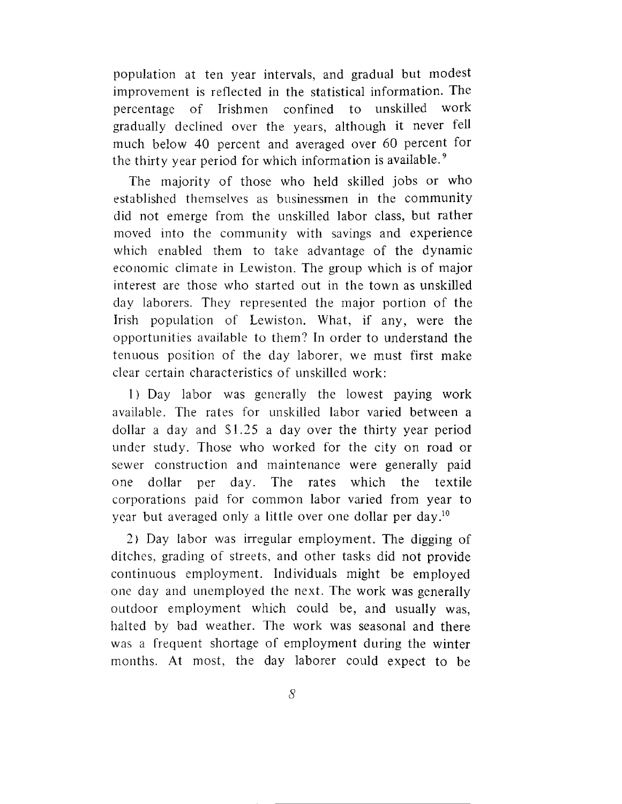population at ten year intervals, and gradual but modest improvement is reflected in the statistical information. The percentage of Irishmen confined to unskilled work gradually declined over the years, although it never fell much below 40 percent and averaged over 60 percent for the thirty year period for which information is available.<sup>9</sup>

The majority of those who held skilled jobs or who established themselves as businessmen in the community did not emerge from the unskilled labor class, but rather moved into the community with savings and experience which enabled them to take advantage of the dynamic economic climate in Lewiston. The group which is of major interest are those who started out in the town as unskilled day laborers. They represented the major portion of the Irish population of Lewiston. What, if any, were the opportunities available to them? In order to understand the tenuous position of the day laborer, we must first make clear certain characteristics of unskilled work:

1) Day labor was generally the lowest paying work available. The rates for unskilled labor varied between a dollar a day and \$1.25 a day over the thirty year period under study. Those who worked for the city on road or sewer construction and maintenance were generally paid one dollar per day. The rates which the textile corporations paid for common labor varied from year to year but averaged only a little over one dollar per day.<sup>10</sup>

2) Day labor was irregular employment. The digging of ditches, grading of streets, and other tasks did not provide continuous employment. Individuals might be employed one day and unemployed the next. The work was generally outdoor employment which could be, and usually was, halted by bad weather. The work was seasonal and there was a frequent shortage of employment during the winter months. At most, the day laborer could expect to be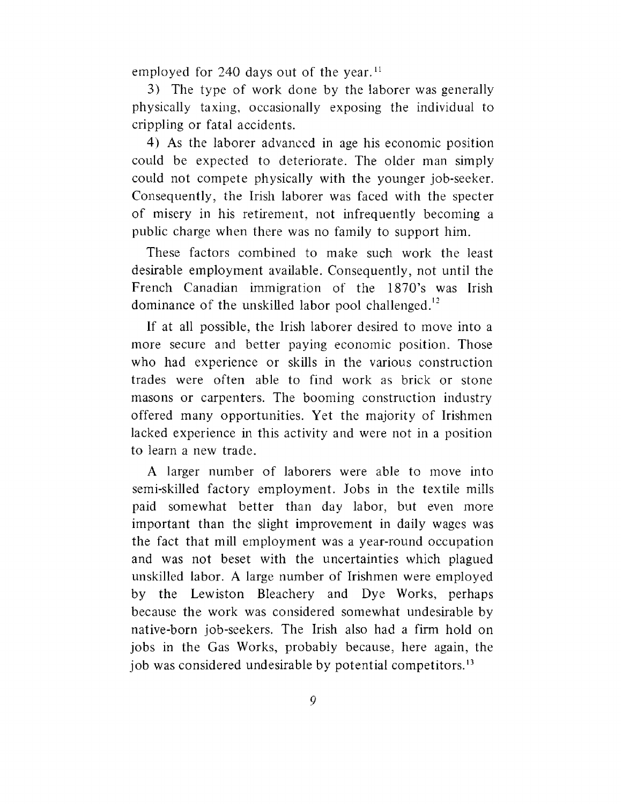employed for 240 days out of the year.<sup>11</sup>

3) The type of work done by the laborer was generally physically taxing, occasionally exposing the individual to crippling or fatal accidents.

4) As the laborer advanced in age his economic position could be expected to deteriorate. The older man simply could not compete physically with the younger job-seeker. Consequently, the Irish laborer was faced with the specter of misery in his retirement, not infrequently becoming a public charge when there was no family to support him.

These factors combined to make such work the least desirable employment available. Consequently, not until the French Canadian immigration of the 1870's was Irish dominance of the unskilled labor pool challenged.<sup>12</sup>

If at all possible, the Irish laborer desired to move into a more secure and better paying economic position. Those who had experience or skills in the various construction trades were often able to find work as brick or stone masons or carpenters. The booming construction industry offered many opportunities. Yet the majority of Irishmen lacked experience in this activity and were not in a position to learn a new trade.

A larger number of laborers were able to move into semi-skilled factory employment. Jobs in the textile mills paid somewhat better than day labor, but even more important than the slight improvement in daily wages was the fact that mill employment was a year-round occupation and was not beset with the uncertainties which plagued unskilled labor. A large number of Irishmen were employed by the Lewiston Bleachery and Dye Works, perhaps because the work was considered somewhat undesirable by native-born job-seekers. The Irish also had a firm hold on jobs in the Gas Works, probably because, here again, the job was considered undesirable by potential competitors.<sup>13</sup>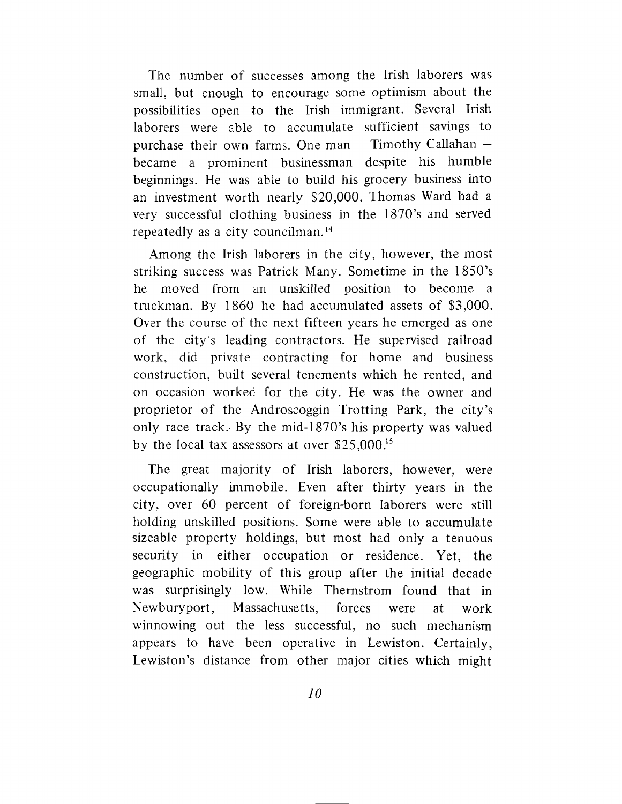The number of successes among the Irish laborers was small, but enough to encourage some optimism about the possibilities open to the Irish immigrant. Several Irish laborers were able to accumulate sufficient savings to purchase their own farms. One man  $-$  Timothy Callahan  $$ became a prominent businessman despite his humble beginnings. He was able to build his grocery business into an investment worth nearly \$20,000. Thomas Ward had a very successful clothing business in the 1870's and served repeatedly as a city councilman.<sup>14</sup>

Among the Irish laborers in the city, however, the most striking success was Patrick Many. Sometime in the 1850's he moved from an unskilled position to become a truckman. By 1860 he had accumulated assets of \$3,000. Over the course of the next fifteen years he emerged as one of the city's leading contractors. He supervised railroad work, did private contracting for home and business construction, built several tenements which he rented, and on occasion worked for the city. He was the owner and proprietor of the Androscoggin Trotting Park, the city's only race track.- By the mid-1870's his property was valued by the local tax assessors at over \$25,000.<sup>15</sup>

The great majority of Irish laborers, however, were occupationally immobile. Even after thirty years in the city, over 60 percent of foreign-born laborers were still holding unskilled positions. Some were able to accumulate sizeable property holdings, but most had only a tenuous security in either occupation or residence. Yet, the geographic mobility of this group after the initial decade was surprisingly low. While Thernstrom found that in Newburyport, Massachusetts, forces were at work winnowing out the less successful, no such mechanism appears to have been operative in Lewiston. Certainly, Lewiston's distance from other major cities which might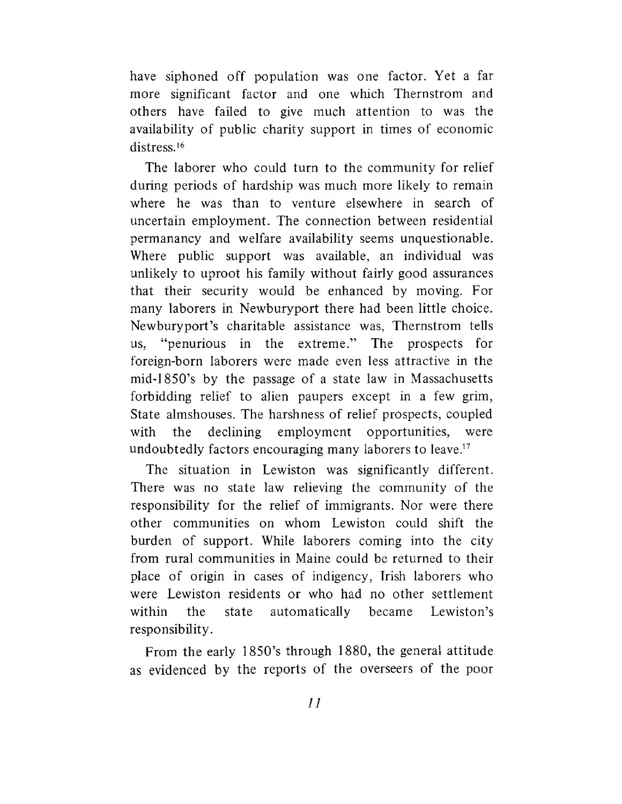have siphoned off population was one factor. Yet a far more significant factor and one which Thernstrom and others have failed to give much attention to was the availability of public charity support in times of economic distress.<sup>16</sup>

The laborer who could turn to the community for relief during periods of hardship was much more likely to remain where he was than to venture elsewhere in search of uncertain employment. The connection between residential permanancy and welfare availability seems unquestionable. Where public support was available, an individual was unlikely to uproot his family without fairly good assurances that their security would be enhanced by moving. For many laborers in Newburyport there had been little choice. Newburyport's charitable assistance was, Thernstrom tells us, "penurious in the extreme." The prospects for foreign-born laborers were made even less attractive in the mid-1850's by the passage of a state law in Massachusetts forbidding relief to alien paupers except in a few grim, State almshouses. The harshness of relief prospects, coupled with the declining employment opportunities, were undoubtedly factors encouraging many laborers to leave.<sup>17</sup>

The situation in Lewiston was significantly different. There was no state law relieving the community of the responsibility for the relief of immigrants. Nor were there other communities on whom Lewiston could shift the burden of support. While laborers coming into the city from rural communities in Maine could be returned to their place of origin in cases of indigency, Irish laborers who were Lewiston residents or who had no other settlement within the state automatically became Lewiston's responsibility.

From the early 1850's through 1880, the general attitude as evidenced by the reports of the overseers of the poor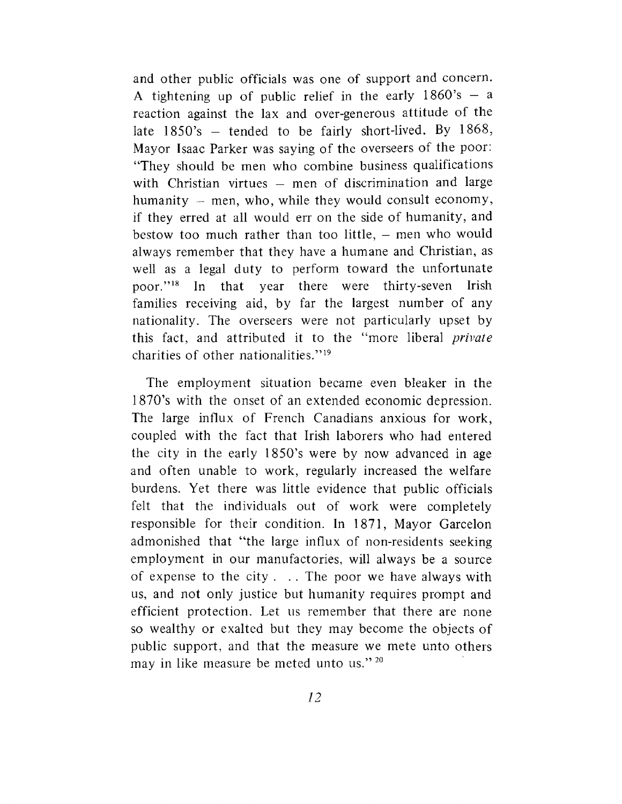and other public officials was one of support and concern. A tightening up of public relief in the early  $1860's - a$ reaction against the lax and over-generous attitude of the late 1850's — tended to be fairly short-lived. By 1868, Mayor Isaac Parker was saying of the overseers of the poor: "They should be men who combine business qualifications with Christian virtues — men of discrimination and large humanity — men, who, while they would consult economy, if they erred at all would err on the side of humanity, and bestow too much rather than too little, — men who would always remember that they have a humane and Christian, as well as a legal duty to perform toward the unfortunate poor."<sup>18</sup> In that year there were thirty-seven Irish families receiving aid, by far the largest number of any nationality. The overseers were not particularly upset by this fact, and attributed it to the "more liberal *private* charities of other nationalities."<sup>19</sup>

The employment situation became even bleaker in the 1870's with the onset of an extended economic depression. The large influx of French Canadians anxious for work, coupled with the fact that Irish laborers who had entered the city in the early 185O's were by now advanced in age and often unable to work, regularly increased the welfare burdens. Yet there was little evidence that public officials felt that the individuals out of work were completely responsible for their condition. In 1871, Mayor Garcelon admonished that "the large influx of non-residents seeking employment in our manufactories, will always be a source of expense to the city  $\ldots$  The poor we have always with us, and not only justice but humanity requires prompt and efficient protection. Let us remember that there are none so wealthy or exalted but they may become the objects of public support, and that the measure we mete unto others may in like measure be meted unto us."  $20$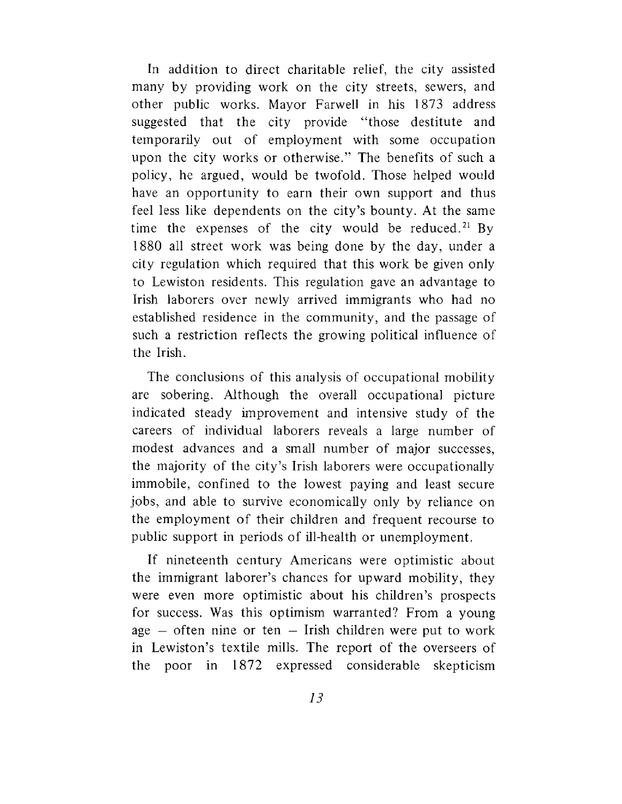In addition to direct charitable relief, the city assisted many by providing work on the city streets, sewers, and other public works. Mayor Farwell in his 1873 address suggested that the city provide "those destitute and temporarily out of employment with some occupation upon the city works or otherwise." The benefits of such a policy, he argued, would be twofold. Those helped would have an opportunity to earn their own support and thus feel less like dependents on the city's bounty. At the same time the expenses of the city would be reduced.<sup>21</sup> By 1880 all street work was being done by the day, under a city regulation which required that this work be given only to Lewiston residents. This regulation gave an advantage to Irish laborers over newly arrived immigrants who had no established residence in the community, and the passage of such a restriction reflects the growing political influence of the Irish.

The conclusions of this analysis of occupational mobility are sobering. Although the overall occupational picture indicated steady improvement and intensive study of the careers of individual laborers reveals a large number of modest advances and a small number of major successes, the majority of the city'<sup>s</sup> Irish laborers were occupationally immobile, confined to the lowest paying and least secure jobs, and able to survive economically only by reliance on the employment of their children and frequent recourse to public support in periods of ill-health or unemployment.

If nineteenth century Americans were optimistic about the immigrant laborer's chances for upward mobility, they were even more optimistic about his children's prospects for success. Was this optimism warranted? From a young age  $-$  often nine or ten  $-$  Irish children were put to work in Lewiston's textile mills. The report of the overseers of the poor in 1872 expressed considerable skepticism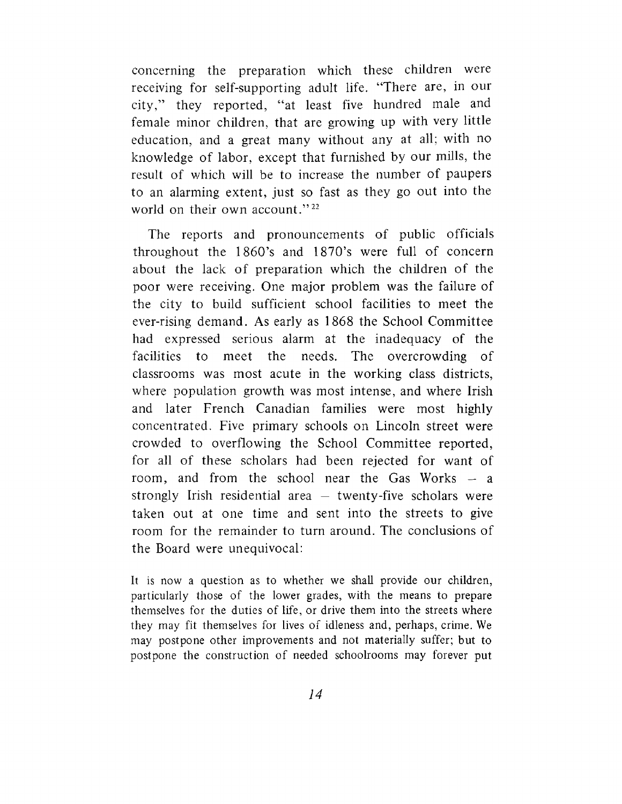concerning the preparation which these children were receiving for self-supporting adult life. "There are, in our city," they reported, "at least five hundred male and female minor children, that are growing up with very little education, and a great many without any at all; with no knowledge of labor, except that furnished by our mills, the result of which will be to increase the number of paupers to an alarming extent, just so fast as they go out into the world on their own account."<sup>22</sup>

The reports and pronouncements of public officials throughout the 1860's and 1870's were full of concern about the lack of preparation which the children of the poor were receiving. One major problem was the failure of the city to build sufficient school facilities to meet the ever-rising demand. As early as 1868 the School Committee had expressed serious alarm at the inadequacy of the facilities to meet the needs. The overcrowding of classrooms was most acute in the working class districts, where population growth was most intense, and where Irish and later French Canadian families were most highly concentrated. Five primary schools on Lincoln street were crowded to overflowing the School Committee reported, for all of these scholars had been rejected for want of room, and from the school near the Gas Works — a strongly Irish residential area — twenty-five scholars were taken out at one time and sent into the streets to give room for the remainder to turn around. The conclusions of the Board were unequivocal:

It is now a question as to whether we shall provide our children, particularly those of the lower grades, with the means to prepare themselves for the duties of life, or drive them into the streets where they may fit themselves for lives of idleness and, perhaps, crime. We may postpone other improvements and not materially suffer; but to postpone the construction of needed schoolrooms may forever put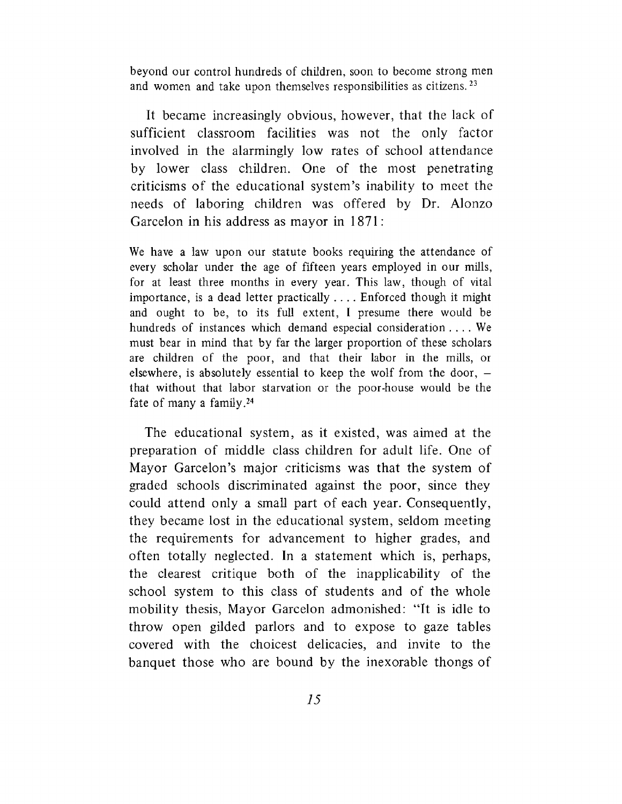beyond our control hundreds of children, soon to become strong men and women and take upon themselves responsibilities as citizens.<sup>23</sup>

It became increasingly obvious, however, that the lack of sufficient classroom facilities was not the only factor involved in the alarmingly low rates of school attendance by lower class children. One of the most penetrating criticisms of the educational system'<sup>s</sup> inability to meet the needs of laboring children was offered by Dr. Alonzo Garcelon in his address as mayor in 1871:

We have a law upon our statute books requiring the attendance of every scholar under the age of fifteen years employed in our mills, for at least three months in every year. This law, though of vital importance, is <sup>a</sup> dead letter practically .... Enforced though it might and ought to be, to its full extent, I presume there would be hundreds of instances which demand especial consideration .... We must bear in mind that by far the larger proportion of these scholars are children of the poor, and that their labor in the mills, or elsewhere, is absolutely essential to keep the wolf from the door,  $$ that without that labor starvation or the poor-house would be the fate of many a family.<sup>24</sup>

The educational system, as it existed, was aimed at the preparation of middle class children for adult life. One of Mayor Garcelon's major criticisms was that the system of graded schools discriminated against the poor, since they could attend only a small part of each year. Consequently, they became lost in the educational system, seldom meeting the requirements for advancement to higher grades, and often totally neglected. In a statement which is, perhaps, the clearest critique both of the inapplicability of the school system to this class of students and of the whole mobility thesis, Mayor Garcelon admonished: "It is idle to throw open gilded parlors and to expose to gaze tables covered with the choicest delicacies, and invite to the banquet those who are bound by the inexorable thongs of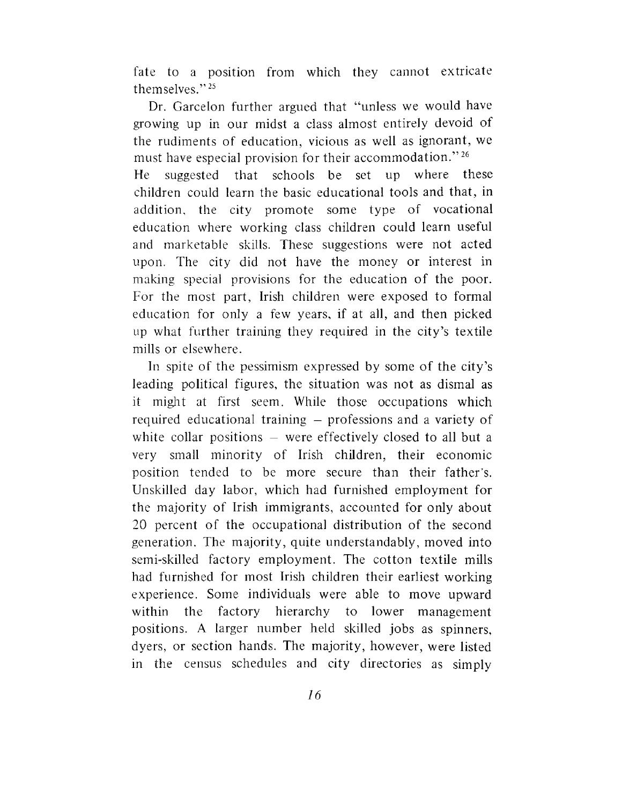fate to a position from which they cannot extricate themselves."<sup>25</sup>

Dr. Garcelon further argued that "unless we would have growing up in our midst a class almost entirely devoid of the rudiments of education, vicious as well as ignorant, we must have especial provision for their accommodation."<sup>26</sup> He suggested that schools be set up where these

children could learn the basic educational tools and that, in addition, the city promote some type of vocational education where working class children could learn useful and marketable skills. These suggestions were not acted upon. The city did not have the money or interest in making special provisions for the education of the poor. For the most part, Irish children were exposed to formal education for only a few years, if at all, and then picked up what further training they required in the city's textile mills or elsewhere.

In spite of the pessimism expressed by some of the city'<sup>s</sup> leading political figures, the situation was not as dismal as it might at first seem. While those occupations which required educational training — professions and a variety of white collar positions  $-$  were effectively closed to all but a very small minority of Irish children, their economic position tended to be more secure than their father's. Unskilled day labor, which had furnished employment for the majority of Irish immigrants, accounted for only about 20 percent of the occupational distribution of the second generation. The majority, quite understandably, moved into semi-skilled factory employment. The cotton textile mills had furnished for most Irish children their earliest working experience. Some individuals were able to move upward within the factory hierarchy to lower management positions. A larger number held skilled jobs as spinners, dyers, or section hands. The majority, however, were listed in the census schedules and city directories as simply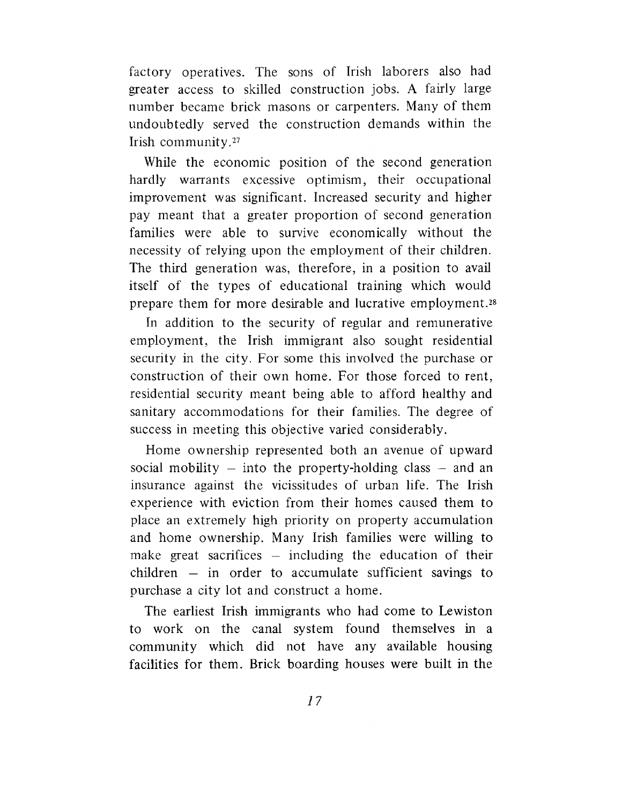factory operatives. The sons of Irish laborers also had greater access to skilled construction jobs. A fairly large number became brick masons or carpenters. Many of them undoubtedly served the construction demands within the Irish community.<sup>27</sup>

While the economic position of the second generation hardly warrants excessive optimism, their occupational improvement was significant. Increased security and higher pay meant that a greater proportion of second generation families were able to survive economically without the necessity of relying upon the employment of their children. The third generation was, therefore, in a position to avail itself of the types of educational training which would prepare them for more desirable and lucrative employment.<sup>28</sup>

In addition to the security of regular and remunerative employment, the Irish immigrant also sought residential security in the city. For some this involved the purchase or construction of their own home. For those forced to rent, residential security meant being able to afford healthy and sanitary accommodations for their families. The degree of success in meeting this objective varied considerably.

Home ownership represented both an avenue of upward social mobility  $-$  into the property-holding class  $-$  and an insurance against the vicissitudes of urban life. The Irish experience with eviction from their homes caused them to place an extremely high priority on property accumulation and home ownership. Many Irish families were willing to make great sacrifices — including the education of their children  $-$  in order to accumulate sufficient savings to purchase a city lot and construct a home.

The earliest Irish immigrants who had come to Lewiston to work on the canal system found themselves in a community which did not have any available housing facilities for them. Brick boarding houses were built in the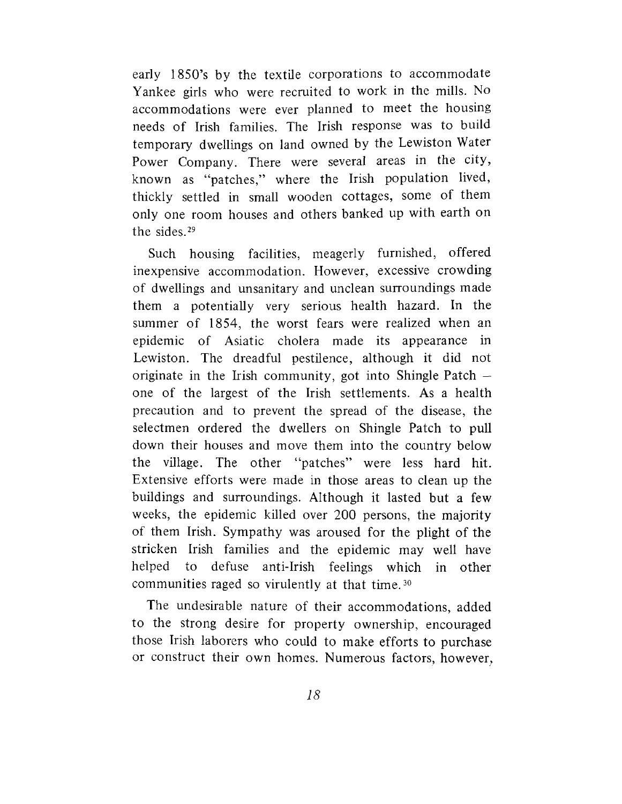early 185O's by the textile corporations to accommodate Yankee girls who were recruited to work in the mills. No accommodations were ever planned to meet the housing needs of Irish families. The Irish response was to build temporary dwellings on land owned by the Lewiston Water Power Company. There were several areas in the city, known as "patches," where the Irish population lived, thickly settled in small wooden cottages, some of them only one room houses and others banked up with earth on the sides.<sup>29</sup>

Such housing facilities, meagerly furnished, offered inexpensive accommodation. However, excessive crowding of dwellings and unsanitary and unclean surroundings made them a potentially very serious health hazard. In the summer of 1854, the worst fears were realized when an epidemic of Asiatic cholera made its appearance in Lewiston. The dreadful pestilence, although it did not originate in the Irish community, got into Shingle Patch  $$ one of the largest of the Irish settlements. As a health precaution and to prevent the spread of the disease, the selectmen ordered the dwellers on Shingle Patch to pull down their houses and move them into the country below the village. The other "patches" were less hard hit. Extensive efforts were made in those areas to clean up the buildings and surroundings. Although it lasted but a few weeks, the epidemic killed over 200 persons, the majority of them Irish. Sympathy was aroused for the plight of the stricken Irish families and the epidemic may well have helped to defuse anti-Irish feelings which in other communities raged so virulently at that time.<sup>30</sup>

The undesirable nature of their accommodations, added to the strong desire for property ownership, encouraged those Irish laborers who could to make efforts to purchase or construct their own homes. Numerous factors, however,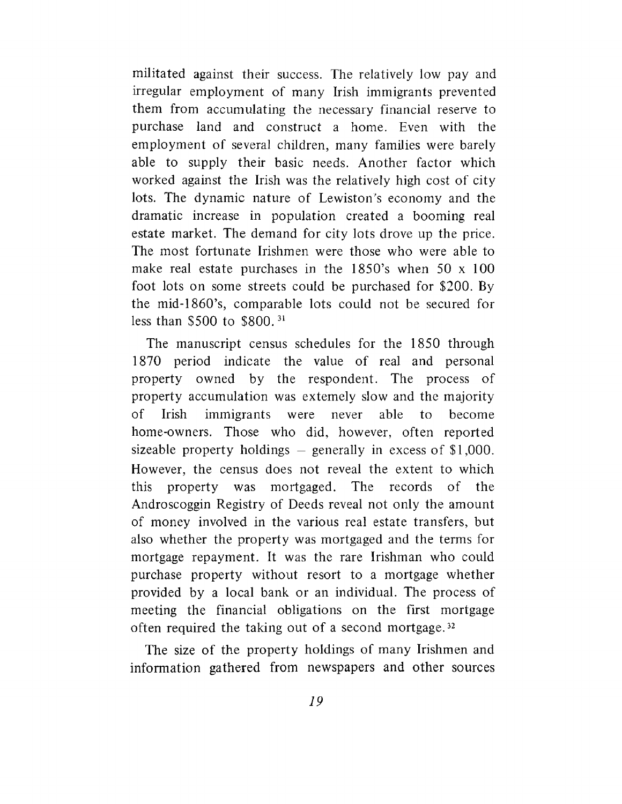militated against their success. The relatively low pay and irregular employment of many Irish immigrants prevented them from accumulating the necessary financial reserve to purchase land and construct a home. Even with the employment of several children, many families were barely able to supply their basic needs. Another factor which worked against the Irish was the relatively high cost of city lots. The dynamic nature of Lewiston's economy and the dramatic increase in population created a booming real estate market. The demand for city lots drove up the price. The most fortunate Irishmen were those who were able to make real estate purchases in the 1850's when 50 x 100 foot lots on some streets could be purchased for \$200. By the mid-1860's, comparable lots could not be secured for less than \$500 to \$800.<sup>31</sup>

The manuscript census schedules for the 1850 through 1870 period indicate the value of real and personal property owned by the respondent. The process of property accumulation was extemely slow and the majority of Irish immigrants were never able to become home-owners. Those who did, however, often reported sizeable property holdings — generally in excess of \$1,000. However, the census does not reveal the extent to which this property was mortgaged. The records of the Androscoggin Registry of Deeds reveal not only the amount of money involved in the various real estate transfers, but also whether the property was mortgaged and the terms for mortgage repayment. It was the rare Irishman who could purchase property without resort to a mortgage whether provided by a local bank or an individual. The process of meeting the financial obligations on the first mortgage often required the taking out of a second mortgage.<sup>32</sup>

The size of the property holdings of many Irishmen and information gathered from newspapers and other sources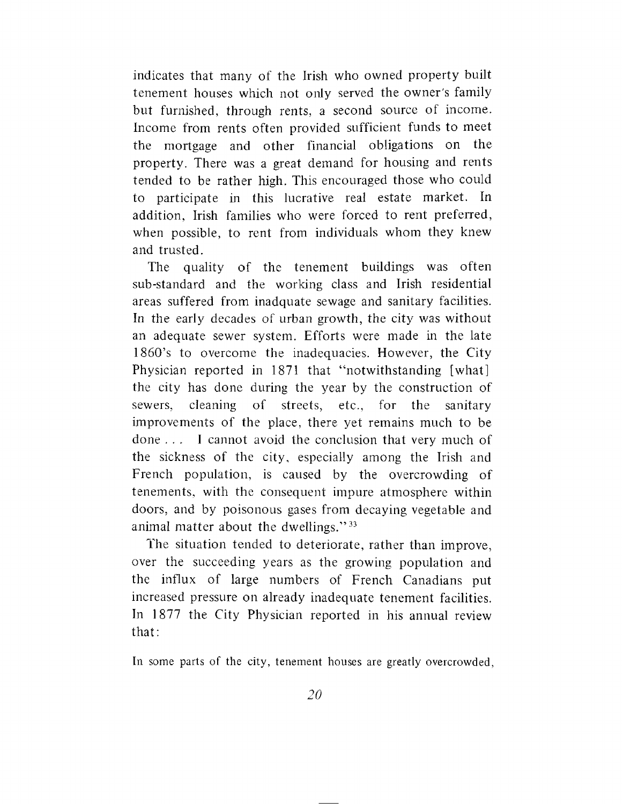indicates that many of the Irish who owned property built tenement houses which not only served the owner's family but furnished, through rents, a second source of income. Income from rents often provided sufficient funds to meet the mortgage and other financial obligations on the property. There was a great demand for housing and rents tended to be rather high. This encouraged those who could to participate in this lucrative real estate market. In addition, Irish families who were forced to rent preferred, when possible, to rent from individuals whom they knew and trusted.

The quality of the tenement buildings was often sub-standard and the working class and Irish residential areas suffered from inadquate sewage and sanitary facilities. In the early decades of urban growth, the city was without an adequate sewer system. Efforts were made in the late 1860's to overcome the inadequacies. However, the City Physician reported in 1871 that "notwithstanding [what] the city has done during the year by the construction of sewers, cleaning of streets, etc., for the sanitary improvements of the place, there yet remains much to be done ... <sup>I</sup> cannot avoid the conclusion that very much of the sickness of the city, especially among the Irish and French population, is caused by the overcrowding of tenements, with the consequent impure atmosphere within doors, and by poisonous gases from decaying vegetable and animal matter about the dwellings."<sup>33</sup>

The situation tended to deteriorate, rather than improve, over the succeeding years as the growing population and the influx of large numbers of French Canadians put increased pressure on already inadequate tenement facilities. In 1877 the City Physician reported in his annual review that:

In some parts of the city, tenement houses are greatly overcrowded,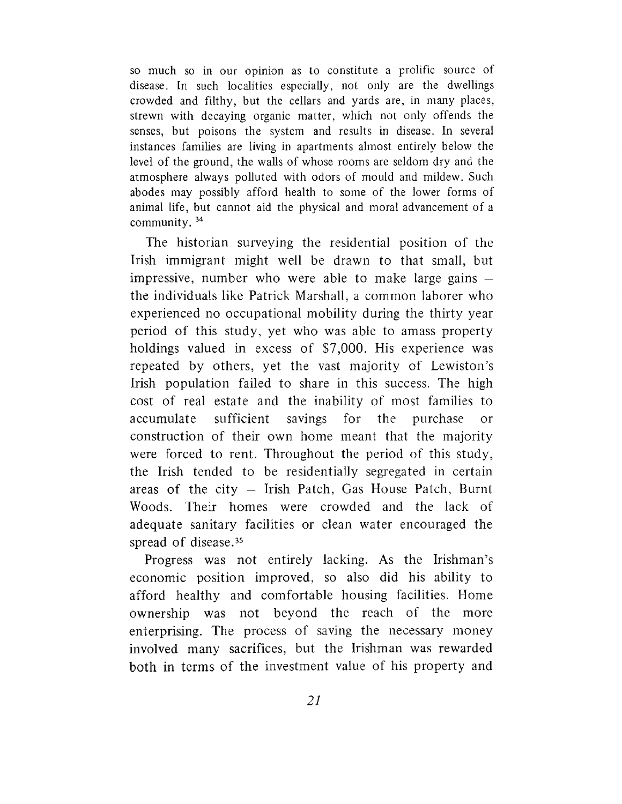so much so in our opinion as to constitute a prolific source of disease. In such localities especially, not only are the dwellings crowded and filthy, but the cellars and yards are, in many places, strewn with decaying organic matter, which not only offends the senses, but poisons the system and results in disease. In several instances families are living in apartments almost entirely below the level of the ground, the walls of whose rooms are seldom dry and the atmosphere always polluted with odors of mould and mildew. Such abodes may possibly afford health to some of the lower forms of animal life, but cannot aid the physical and moral advancement of a community. <sup>34</sup>

The historian surveying the residential position of the Irish immigrant might well be drawn to that small, but impressive, number who were able to make large gains  $$ the individuals like Patrick Marshall, a common laborer who experienced no occupational mobility during the thirty year period of this study, yet who was able to amass property holdings valued in excess of \$7,000. His experience was repeated by others, yet the vast majority of Lewiston's Irish population failed to share in this success. The high cost of real estate and the inability of most families to accumulate sufficient savings for the purchase or construction of their own home meant that the majority were forced to rent. Throughout the period of this study, the Irish tended to be residentially segregated in certain areas of the city  $-$  Irish Patch, Gas House Patch, Burnt Woods. Their homes were crowded and the lack of adequate sanitary facilities or clean water encouraged the spread of disease.<sup>35</sup>

Progress was not entirely lacking. As the Irishman's economic position improved, so also did his ability to afford healthy and comfortable housing facilities. Home ownership was not beyond the reach of the more enterprising. The process of saving the necessary money involved many sacrifices, but the Irishman was rewarded both in terms of the investment value of his property and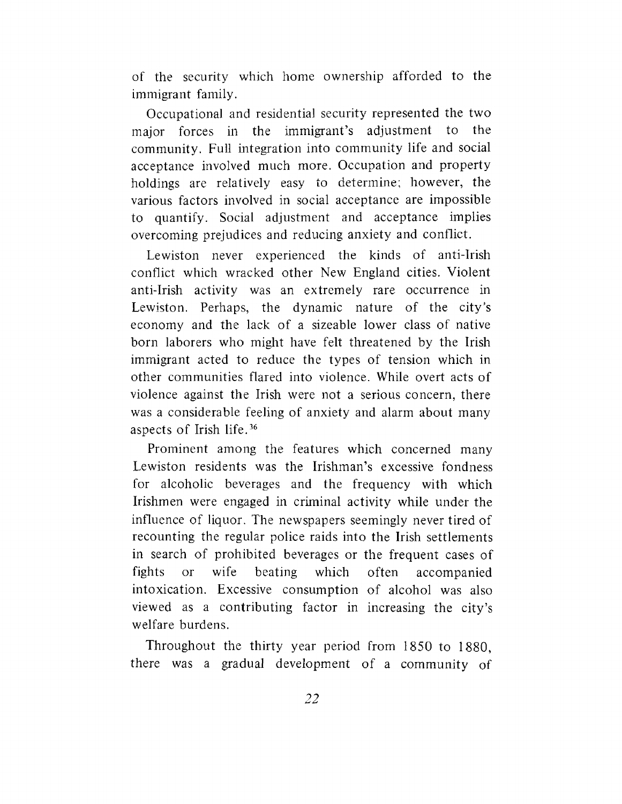of the security which home ownership afforded to the immigrant family.

Occupational and residential security represented the two major forces in the immigrant'<sup>s</sup> adjustment to the community. Full integration into community life and social acceptance involved much more. Occupation and property holdings are relatively easy to determine; however, the various factors involved in social acceptance are impossible to quantify. Social adjustment and acceptance implies overcoming prejudices and reducing anxiety and conflict.

Lewiston never experienced the kinds of anti-Irish conflict which wracked other New England cities. Violent anti-Irish activity was an extremely rare occurrence in Lewiston. Perhaps, the dynamic nature of the city'<sup>s</sup> economy and the lack of a sizeable lower class of native born laborers who might have felt threatened by the Irish immigrant acted to reduce the types of tension which in other communities flared into violence. While overt acts of violence against the Irish were not a serious concern, there was a considerable feeling of anxiety and alarm about many aspects of Irish life.<sup>36</sup>

Prominent among the features which concerned many Lewiston residents was the Irishman's excessive fondness for alcoholic beverages and the frequency with which Irishmen were engaged in criminal activity while under the influence of liquor. The newspapers seemingly never tired of recounting the regular police raids into the Irish settlements in search of prohibited beverages or the frequent cases of fights or wife beating which often accompanied intoxication. Excessive consumption of alcohol was also viewed as a contributing factor in increasing the city'<sup>s</sup> welfare burdens.

Throughout the thirty year period from 1850 to 1880, there was a gradual development of a community of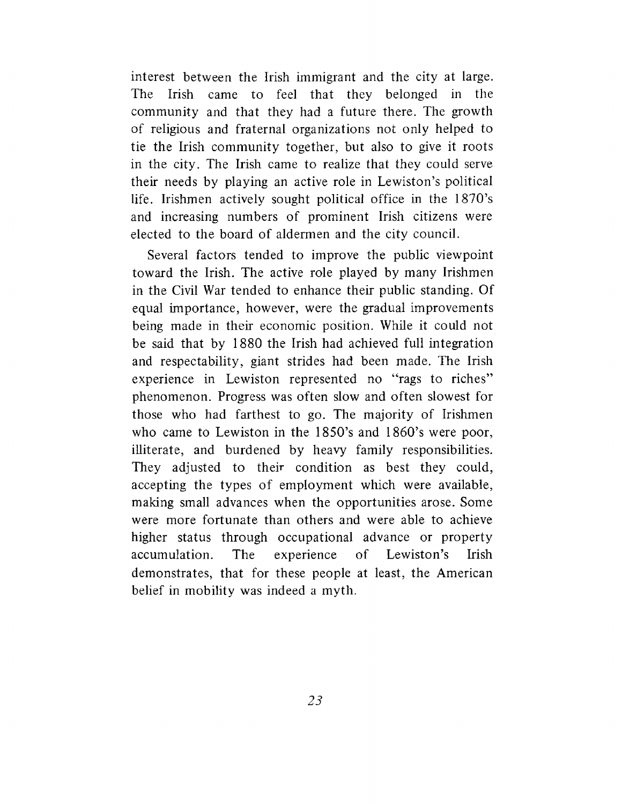interest between the Irish immigrant and the city at large. The Irish came to feel that they belonged in the community and that they had a future there. The growth of religious and fraternal organizations not only helped to tie the Irish community together, but also to give it roots in the city. The Irish came to realize that they could serve their needs by playing an active role in Lewiston's political life. Irishmen actively sought political office in the 1870's and increasing numbers of prominent Irish citizens were elected to the board of aidermen and the city council.

Several factors tended to improve the public viewpoint toward the Irish. The active role played by many Irishmen in the Civil War tended to enhance their public standing. Of equal importance, however, were the gradual improvements being made in their economic position. While it could not be said that by 1880 the Irish had achieved full integration and respectability, giant strides had been made. The Irish experience in Lewiston represented no "rags to riches" phenomenon. Progress was often slow and often slowest for those who had farthest to go. The majority of Irishmen who came to Lewiston in the 1850's and 1860's were poor, illiterate, and burdened by heavy family responsibilities. They adjusted to their condition as best they could, accepting the types of employment which were available, making small advances when the opportunities arose. Some were more fortunate than others and were able to achieve higher status through occupational advance or property accumulation. The experience of Lewiston's Irish demonstrates, that for these people at least, the American belief in mobility was indeed a myth.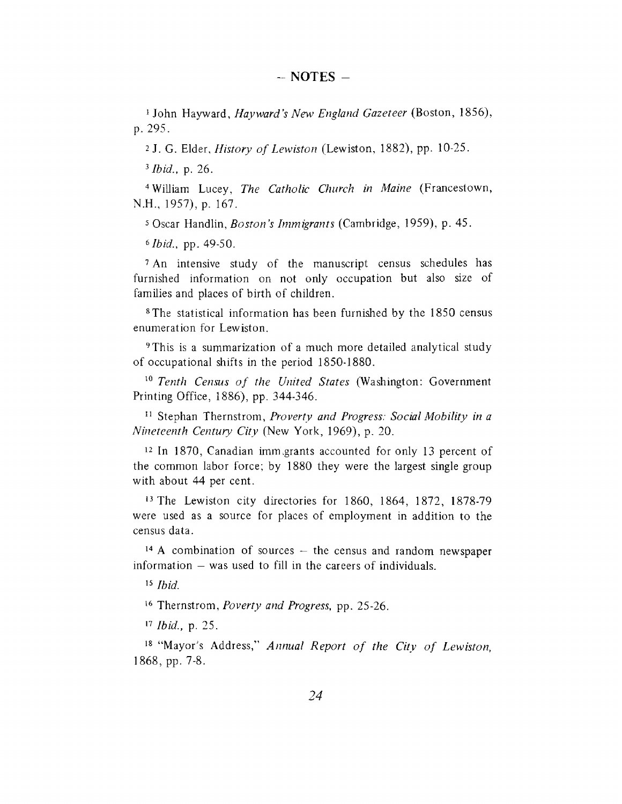#### **- NOTES -**

<sup>1</sup> John Hayward, *Hayward's New England Gazeteer* (Boston, 1856), p. 295.

<sup>2</sup> J. G. Elder, *History of Lewiston* (Lewiston, 1882), pp. 10-25.

*<sup>3</sup> Ibid.,* p. 26.

<sup>4</sup> William Lucey, *The Catholic Church in Maine* (Francestown, N.H., 1957), p. 167.

<sup>5</sup> Oscar Handlin, *Boston's Immigrants* (Cambridge, 1959), p. 45.

*6Ibid.,* pp. 49-50.

<sup>7</sup> An intensive study of the manuscript census schedules has furnished information on not only occupation but also size of families and places of birth of children.

<sup>8</sup> The statistical information has been furnished by the 1850 census enumeration for Lewiston.

<sup>9</sup> This is a summarization of a much more detailed analytical study of occupational shifts in the period 1850-1880.

*<sup>10</sup> Tenth Census of the United States* (Washington: Government Printing Office, 1886), pp. 344-346.

<sup>11</sup> Stephan Thernstrom, *Proverty and Progress: Social Mobility in a Nineteenth Century City* (New York, 1969), p. 20.

<sup>12</sup> In 1870, Canadian immigrants accounted for only 13 percent of the common labor force; by 1880 they were the largest single group with about 44 per cent.

<sup>13</sup> The Lewiston city directories for 1860, 1864, 1872, 1878-79 were used as a source for places of employment in addition to the census data.

 $14$  A combination of sources  $-$  the census and random newspaper information — was used to fill in the careers of individuals.

*<sup>15</sup> Ibid.*

<sup>16</sup> Thernstrom, *Poverty and Progress,* pp. 25-26.

*<sup>17</sup> Ibid.,* p. 25.

<sup>18</sup> "Mayor's Address," *Annual Report of the City of Lewiston,* 1868, pp. 7-8.